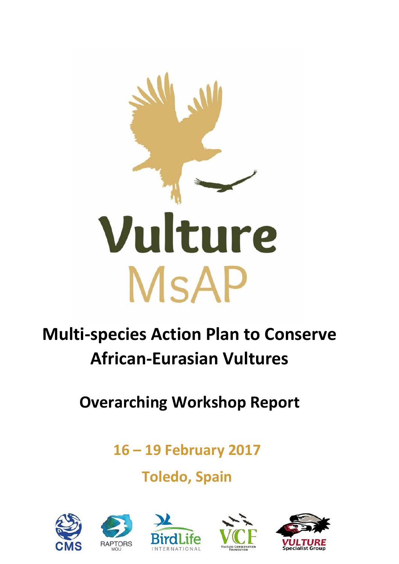

# **Multi-species Action Plan to Conserve African-Eurasian Vultures**

**Overarching Workshop Report**

**16 – 19 February 2017**

**Toledo, Spain**

![](_page_0_Picture_5.jpeg)

![](_page_0_Picture_6.jpeg)

![](_page_0_Picture_7.jpeg)

![](_page_0_Picture_8.jpeg)

![](_page_0_Picture_9.jpeg)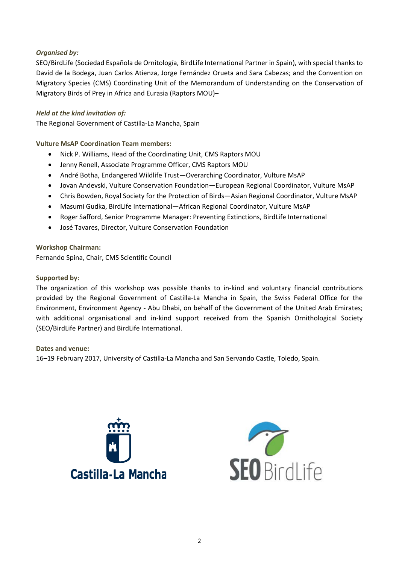#### *Organised by:*

SEO/BirdLife (Sociedad Española de Ornitología, BirdLife International Partner in Spain), with special thanks to David de la Bodega, Juan Carlos Atienza, Jorge Fernández Orueta and Sara Cabezas; and the Convention on Migratory Species (CMS) Coordinating Unit of the Memorandum of Understanding on the Conservation of Migratory Birds of Prey in Africa and Eurasia (Raptors MOU)–

#### *Held at the kind invitation of:*

The Regional Government of Castilla-La Mancha, Spain

**Vulture MsAP Coordination Team members:** 

- Nick P. Williams, Head of the Coordinating Unit, CMS Raptors MOU
- Jenny Renell, Associate Programme Officer, CMS Raptors MOU
- André Botha, Endangered Wildlife Trust—Overarching Coordinator, Vulture MsAP
- Jovan Andevski, Vulture Conservation Foundation—European Regional Coordinator, Vulture MsAP
- Chris Bowden, Royal Society for the Protection of Birds—Asian Regional Coordinator, Vulture MsAP
- Masumi Gudka, BirdLife International—African Regional Coordinator, Vulture MsAP
- Roger Safford, Senior Programme Manager: Preventing Extinctions, BirdLife International
- José Tavares, Director, Vulture Conservation Foundation

**Workshop Chairman:** Fernando Spina, Chair, CMS Scientific Council

#### **Supported by:**

The organization of this workshop was possible thanks to in-kind and voluntary financial contributions provided by the Regional Government of Castilla-La Mancha in Spain, the Swiss Federal Office for the Environment, Environment Agency - Abu Dhabi, on behalf of the Government of the United Arab Emirates; with additional organisational and in-kind support received from the Spanish Ornithological Society (SEO/BirdLife Partner) and BirdLife International.

**Dates and venue:**

16–19 February 2017, University of Castilla-La Mancha and San Servando Castle, Toledo, Spain.

![](_page_1_Picture_18.jpeg)

![](_page_1_Picture_19.jpeg)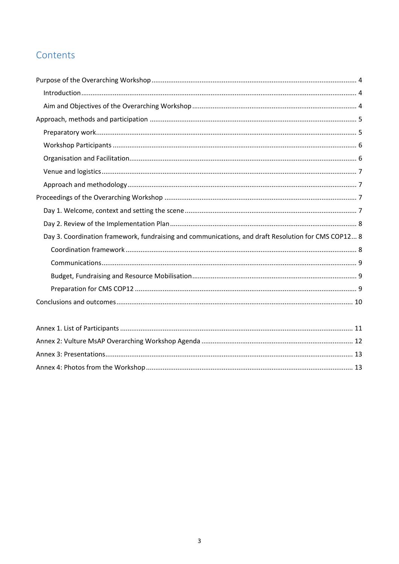# Contents

| Day 3. Coordination framework, fundraising and communications, and draft Resolution for CMS COP12 8 |
|-----------------------------------------------------------------------------------------------------|
|                                                                                                     |
|                                                                                                     |
|                                                                                                     |
|                                                                                                     |
|                                                                                                     |
|                                                                                                     |
| Anney 1 List of Particinants<br>11                                                                  |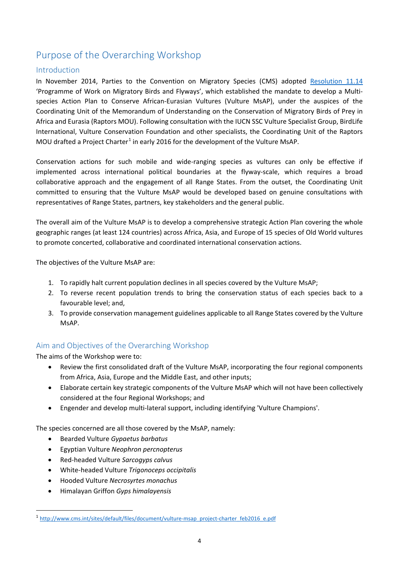# <span id="page-3-0"></span>Purpose of the Overarching Workshop

#### <span id="page-3-1"></span>Introduction

In November 2014, Parties to the Convention on Migratory Species (CMS) adopted [Resolution 11.14](http://www.cms.int/en/document/programme-work-migratory-birds-and-flyways-6) 'Programme of Work on Migratory Birds and Flyways', which established the mandate to develop a Multispecies Action Plan to Conserve African-Eurasian Vultures (Vulture MsAP), under the auspices of the Coordinating Unit of the Memorandum of Understanding on the Conservation of Migratory Birds of Prey in Africa and Eurasia (Raptors MOU). Following consultation with the IUCN SSC Vulture Specialist Group, BirdLife International, Vulture Conservation Foundation and other specialists, the Coordinating Unit of the Raptors MOU drafted a Project Charter<sup>[1](#page-3-3)</sup> in early 2016 for the development of the Vulture MsAP.

Conservation actions for such mobile and wide-ranging species as vultures can only be effective if implemented across international political boundaries at the flyway-scale, which requires a broad collaborative approach and the engagement of all Range States. From the outset, the Coordinating Unit committed to ensuring that the Vulture MsAP would be developed based on genuine consultations with representatives of Range States, partners, key stakeholders and the general public.

The overall aim of the Vulture MsAP is to develop a comprehensive strategic Action Plan covering the whole geographic ranges (at least 124 countries) across Africa, Asia, and Europe of 15 species of Old World vultures to promote concerted, collaborative and coordinated international conservation actions.

The objectives of the Vulture MsAP are:

- 1. To rapidly halt current population declines in all species covered by the Vulture MsAP;
- 2. To reverse recent population trends to bring the conservation status of each species back to a favourable level; and,
- 3. To provide conservation management guidelines applicable to all Range States covered by the Vulture MsAP.

#### <span id="page-3-2"></span>Aim and Objectives of the Overarching Workshop

The aims of the Workshop were to:

- Review the first consolidated draft of the Vulture MsAP, incorporating the four regional components from Africa, Asia, Europe and the Middle East, and other inputs;
- Elaborate certain key strategic components of the Vulture MsAP which will not have been collectively considered at the four Regional Workshops; and
- Engender and develop multi-lateral support, including identifying 'Vulture Champions'.

The species concerned are all those covered by the MsAP, namely:

- Bearded Vulture *Gypaetus barbatus*
- Egyptian Vulture *Neophron percnopterus*
- Red-headed Vulture *Sarcogyps calvus*
- White-headed Vulture *Trigonoceps occipitalis*
- Hooded Vulture *Necrosyrtes monachus*
- Himalayan Griffon *Gyps himalayensis*

<span id="page-3-3"></span><sup>1</sup> [http://www.cms.int/sites/default/files/document/vulture-msap\\_project-charter\\_feb2016\\_e.pdf](http://www.cms.int/sites/default/files/document/vulture-msap_project-charter_feb2016_e.pdf)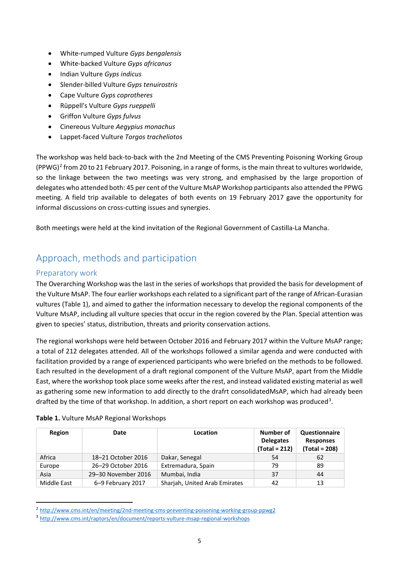- White-rumped Vulture *Gyps bengalensis*
- White-backed Vulture *Gyps africanus*
- Indian Vulture *Gyps indicus*
- Slender-billed Vulture *Gyps tenuirostris*
- Cape Vulture *Gyps coprotheres*
- Rüppell's Vulture *Gyps rueppelli*
- Griffon Vulture *Gyps fulvus*
- Cinereous Vulture *Aegypius monachus*
- Lappet-faced Vulture *Torgos tracheliotos*

The workshop was held back-to-back with the 2nd Meeting of the CMS Preventing Poisoning Working Group  $(PW)$ <sup>[2](#page-4-2)</sup> from 20 to 21 February 2017. Poisoning, in a range of forms, is the main threat to vultures worldwide, so the linkage between the two meetings was very strong, and emphasised by the large proportion of delegates who attended both: 45 per cent of the Vulture MsAP Workshop participants also attended the PPWG meeting. A field trip available to delegates of both events on 19 February 2017 gave the opportunity for informal discussions on cross-cutting issues and synergies.

Both meetings were held at the kind invitation of the Regional Government of Castilla-La Mancha.

# <span id="page-4-0"></span>Approach, methods and participation

#### <span id="page-4-1"></span>Preparatory work

The Overarching Workshop was the last in the series of workshops that provided the basis for development of the Vulture MsAP. The four earlier workshops each related to a significant part of the range of African-Eurasian vultures (Table 1), and aimed to gather the information necessary to develop the regional components of the Vulture MsAP, including all vulture species that occur in the region covered by the Plan. Special attention was given to species' status, distribution, threats and priority conservation actions.

The regional workshops were held between October 2016 and February 2017 within the Vulture MsAP range; a total of 212 delegates attended. All of the workshops followed a similar agenda and were conducted with facilitation provided by a range of experienced participants who were briefed on the methods to be followed. Each resulted in the development of a draft regional component of the Vulture MsAP, apart from the Middle East, where the workshop took place some weeks after the rest, and instead validated existing material as well as gathering some new information to add directly to the drafrt consolidatedMsAP, which had already been drafted by the time of that workshop. In addition, a short report on each workshop was produced<sup>[3](#page-4-3)</sup>.

| Region      | Date                | Location                      | Number of<br><b>Delegates</b><br>$(Total = 212)$ | Questionnaire<br><b>Responses</b><br>$(Total = 208)$ |
|-------------|---------------------|-------------------------------|--------------------------------------------------|------------------------------------------------------|
| Africa      | 18-21 October 2016  | Dakar, Senegal                | 54                                               | 62                                                   |
| Europe      | 26-29 October 2016  | Extremadura, Spain            | 79                                               | 89                                                   |
| Asia        | 29-30 November 2016 | Mumbai, India                 | 37                                               | 44                                                   |
| Middle East | 6-9 February 2017   | Shariah, United Arab Emirates | 42                                               | 13                                                   |

| Table 1. Vulture MsAP Regional Workshops |
|------------------------------------------|
|------------------------------------------|

<span id="page-4-2"></span> <sup>2</sup> <http://www.cms.int/en/meeting/2nd-meeting-cms-preventing-poisoning-working-group-ppwg2>

<span id="page-4-3"></span><sup>3</sup> <http://www.cms.int/raptors/en/document/reports-vulture-msap-regional-workshops>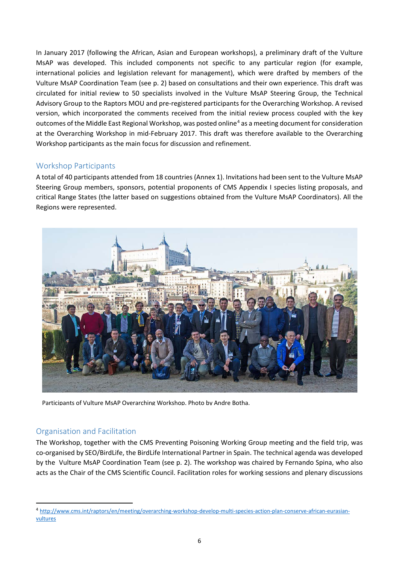In January 2017 (following the African, Asian and European workshops), a preliminary draft of the Vulture MsAP was developed. This included components not specific to any particular region (for example, international policies and legislation relevant for management), which were drafted by members of the Vulture MsAP Coordination Team (see p. 2) based on consultations and their own experience. This draft was circulated for initial review to 50 specialists involved in the Vulture MsAP Steering Group, the Technical Advisory Group to the Raptors MOU and pre-registered participants for the Overarching Workshop. A revised version, which incorporated the comments received from the initial review process coupled with the key outcomes of the Middle East Regional Workshop, was posted online<sup>[4](#page-5-2)</sup> as a meeting document for consideration at the Overarching Workshop in mid-February 2017. This draft was therefore available to the Overarching Workshop participants as the main focus for discussion and refinement.

#### <span id="page-5-0"></span>Workshop Participants

A total of 40 participants attended from 18 countries (Annex 1). Invitations had been sent to the Vulture MsAP Steering Group members, sponsors, potential proponents of CMS Appendix I species listing proposals, and critical Range States (the latter based on suggestions obtained from the Vulture MsAP Coordinators). All the Regions were represented.

![](_page_5_Picture_3.jpeg)

Participants of Vulture MsAP Overarching Workshop. Photo by Andre Botha.

#### <span id="page-5-1"></span>Organisation and Facilitation

The Workshop, together with the CMS Preventing Poisoning Working Group meeting and the field trip, was co-organised by SEO/BirdLife, the BirdLife International Partner in Spain. The technical agenda was developed by the Vulture MsAP Coordination Team (see p. 2). The workshop was chaired by Fernando Spina, who also acts as the Chair of the CMS Scientific Council. Facilitation roles for working sessions and plenary discussions

<span id="page-5-2"></span> <sup>4</sup> [http://www.cms.int/raptors/en/meeting/overarching-workshop-develop-multi-species-action-plan-conserve-african-eurasian](http://www.cms.int/raptors/en/meeting/overarching-workshop-develop-multi-species-action-plan-conserve-african-eurasian-vultures)[vultures](http://www.cms.int/raptors/en/meeting/overarching-workshop-develop-multi-species-action-plan-conserve-african-eurasian-vultures)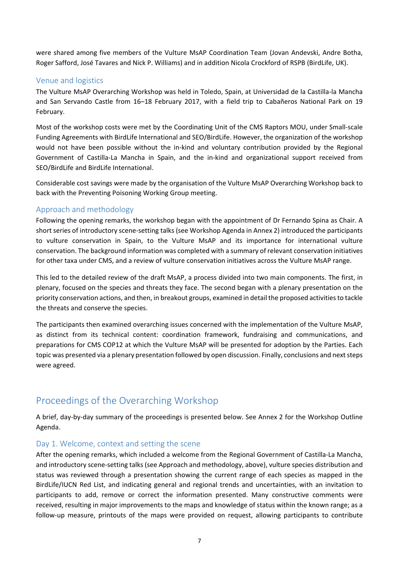were shared among five members of the Vulture MsAP Coordination Team (Jovan Andevski, Andre Botha, Roger Safford, José Tavares and Nick P. Williams) and in addition Nicola Crockford of RSPB (BirdLife, UK).

#### <span id="page-6-0"></span>Venue and logistics

The Vulture MsAP Overarching Workshop was held in Toledo, Spain, at Universidad de la Castilla-la Mancha and San Servando Castle from 16–18 February 2017, with a field trip to Cabañeros National Park on 19 February.

Most of the workshop costs were met by the Coordinating Unit of the CMS Raptors MOU, under Small-scale Funding Agreements with BirdLife International and SEO/BirdLife. However, the organization of the workshop would not have been possible without the in-kind and voluntary contribution provided by the Regional Government of Castilla-La Mancha in Spain, and the in-kind and organizational support received from SEO/BirdLife and BirdLife International.

Considerable cost savings were made by the organisation of the Vulture MsAP Overarching Workshop back to back with the Preventing Poisoning Working Group meeting.

#### <span id="page-6-1"></span>Approach and methodology

Following the opening remarks, the workshop began with the appointment of Dr Fernando Spina as Chair. A short series of introductory scene-setting talks (see Workshop Agenda in Annex 2) introduced the participants to vulture conservation in Spain, to the Vulture MsAP and its importance for international vulture conservation. The background information was completed with a summary of relevant conservation initiatives for other taxa under CMS, and a review of vulture conservation initiatives across the Vulture MsAP range.

This led to the detailed review of the draft MsAP, a process divided into two main components. The first, in plenary, focused on the species and threats they face. The second began with a plenary presentation on the priority conservation actions, and then, in breakout groups, examined in detail the proposed activities to tackle the threats and conserve the species.

The participants then examined overarching issues concerned with the implementation of the Vulture MsAP, as distinct from its technical content: coordination framework, fundraising and communications, and preparations for CMS COP12 at which the Vulture MsAP will be presented for adoption by the Parties. Each topic was presented via a plenary presentation followed by open discussion. Finally, conclusions and next steps were agreed.

## <span id="page-6-2"></span>Proceedings of the Overarching Workshop

A brief, day-by-day summary of the proceedings is presented below. See Annex 2 for the Workshop Outline Agenda.

#### <span id="page-6-3"></span>Day 1. Welcome, context and setting the scene

After the opening remarks, which included a welcome from the Regional Government of Castilla-La Mancha, and introductory scene-setting talks (see Approach and methodology, above), vulture species distribution and status was reviewed through a presentation showing the current range of each species as mapped in the BirdLife/IUCN Red List, and indicating general and regional trends and uncertainties, with an invitation to participants to add, remove or correct the information presented. Many constructive comments were received, resulting in major improvements to the maps and knowledge of status within the known range; as a follow-up measure, printouts of the maps were provided on request, allowing participants to contribute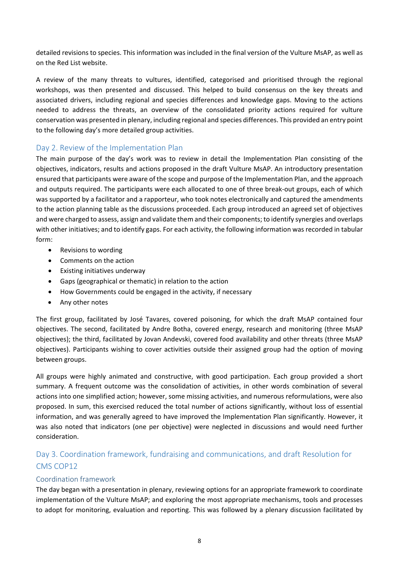detailed revisions to species. This information was included in the final version of the Vulture MsAP, as well as on the Red List website.

A review of the many threats to vultures, identified, categorised and prioritised through the regional workshops, was then presented and discussed. This helped to build consensus on the key threats and associated drivers, including regional and species differences and knowledge gaps. Moving to the actions needed to address the threats, an overview of the consolidated priority actions required for vulture conservation was presented in plenary, including regional and species differences. This provided an entry point to the following day's more detailed group activities.

#### <span id="page-7-0"></span>Day 2. Review of the Implementation Plan

The main purpose of the day's work was to review in detail the Implementation Plan consisting of the objectives, indicators, results and actions proposed in the draft Vulture MsAP. An introductory presentation ensured that participants were aware of the scope and purpose of the Implementation Plan, and the approach and outputs required. The participants were each allocated to one of three break-out groups, each of which was supported by a facilitator and a rapporteur, who took notes electronically and captured the amendments to the action planning table as the discussions proceeded. Each group introduced an agreed set of objectives and were charged to assess, assign and validate them and their components; to identify synergies and overlaps with other initiatives; and to identify gaps. For each activity, the following information was recorded in tabular form:

- Revisions to wording
- Comments on the action
- Existing initiatives underway
- Gaps (geographical or thematic) in relation to the action
- How Governments could be engaged in the activity, if necessary
- Any other notes

The first group, facilitated by José Tavares, covered poisoning, for which the draft MsAP contained four objectives. The second, facilitated by Andre Botha, covered energy, research and monitoring (three MsAP objectives); the third, facilitated by Jovan Andevski, covered food availability and other threats (three MsAP objectives). Participants wishing to cover activities outside their assigned group had the option of moving between groups.

All groups were highly animated and constructive, with good participation. Each group provided a short summary. A frequent outcome was the consolidation of activities, in other words combination of several actions into one simplified action; however, some missing activities, and numerous reformulations, were also proposed. In sum, this exercised reduced the total number of actions significantly, without loss of essential information, and was generally agreed to have improved the Implementation Plan significantly. However, it was also noted that indicators (one per objective) were neglected in discussions and would need further consideration.

### <span id="page-7-1"></span>Day 3. Coordination framework, fundraising and communications, and draft Resolution for CMS COP12

#### <span id="page-7-2"></span>Coordination framework

The day began with a presentation in plenary, reviewing options for an appropriate framework to coordinate implementation of the Vulture MsAP; and exploring the most appropriate mechanisms, tools and processes to adopt for monitoring, evaluation and reporting. This was followed by a plenary discussion facilitated by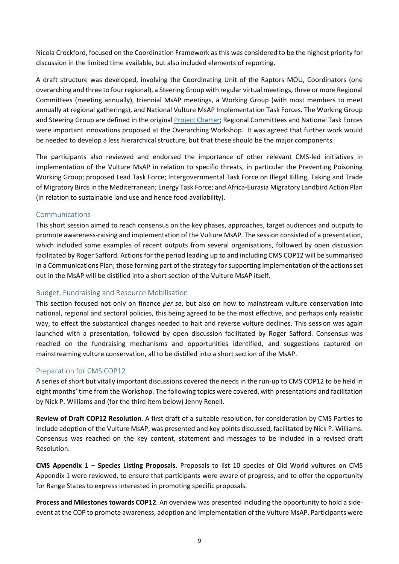Nicola Crockford, focused on the Coordination Framework as this was considered to be the highest priority for discussion in the limited time available, but also included elements of reporting.

A draft structure was developed, involving the Coordinating Unit of the Raptors MOU, Coordinators (one overarching and three to four regional), a Steering Group with regular virtual meetings, three or more Regional Committees (meeting annually), triennial MsAP meetings, a Working Group (with most members to meet annually at regional gatherings), and National Vulture MsAP Implementation Task Forces. The Working Group and Steering Group are defined in the original [Project Charter;](http://www.cms.int/raptors/en/document/project-charter-multi-species-action-plan-conserve-african-eurasian-vultures) Regional Committees and National Task Forces were important innovations proposed at the Overarching Workshop. It was agreed that further work would be needed to develop a less hierarchical structure, but that these should be the major components.

The participants also reviewed and endorsed the importance of other relevant CMS-led initiatives in implementation of the Vulture MsAP in relation to specific threats, in particular the Preventing Poisoning Working Group; proposed Lead Task Force; Intergovernmental Task Force on Illegal Killing, Taking and Trade of Migratory Birdsin the Mediterranean; Energy Task Force; and Africa-Eurasia Migratory Landbird Action Plan (in relation to sustainable land use and hence food availability).

#### <span id="page-8-0"></span>Communications

This short session aimed to reach consensus on the key phases, approaches, target audiences and outputs to promote awareness-raising and implementation of the Vulture MsAP. The session consisted of a presentation, which included some examples of recent outputs from several organisations, followed by open discussion facilitated by Roger Safford. Actions for the period leading up to and including CMS COP12 will be summarised in a Communications Plan; those forming part of the strategy for supporting implementation of the actions set out in the MsAP will be distilled into a short section of the Vulture MsAP itself.

#### <span id="page-8-1"></span>Budget, Fundraising and Resource Mobilisation

This section focused not only on finance *per se*, but also on how to mainstream vulture conservation into national, regional and sectoral policies, this being agreed to be the most effective, and perhaps only realistic way, to effect the substantical changes needed to halt and reverse vulture declines. This session was again launched with a presentation, followed by open discussion facilitated by Roger Safford. Consensus was reached on the fundraising mechanisms and opportunities identified, and suggestions captured on mainstreaming vulture conservation, all to be distilled into a short section of the MsAP.

#### <span id="page-8-2"></span>Preparation for CMS COP12

A series of short but vitally important discussions covered the needs in the run-up to CMS COP12 to be held in eight months' time from the Workshop. The following topics were covered, with presentations and facilitation by Nick P. Williams and (for the third item below) Jenny Renell.

**Review of Draft COP12 Resolution**. A first draft of a suitable resolution, for consideration by CMS Parties to include adoption of the Vulture MsAP, was presented and key points discussed, facilitated by Nick P. Williams. Consensus was reached on the key content, statement and messages to be included in a revised draft Resolution.

**CMS Appendix 1 – Species Listing Proposals**. Proposals to list 10 species of Old World vultures on CMS Appendix 1 were reviewed, to ensure that participants were aware of progress, and to offer the opportunity for Range States to express interested in promoting specific proposals.

**Process and Milestones towards COP12**. An overview was presented including the opportunity to hold a sideevent at the COP to promote awareness, adoption and implementation of the Vulture MsAP. Participants were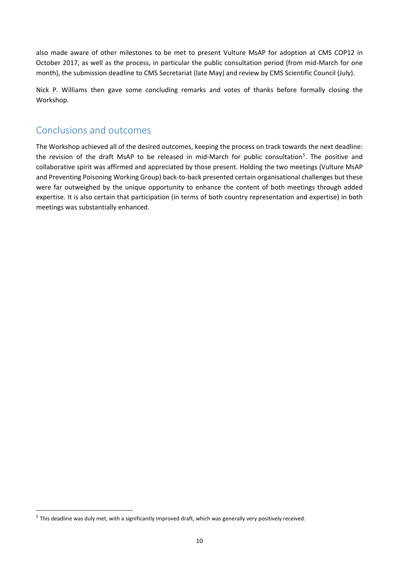also made aware of other milestones to be met to present Vulture MsAP for adoption at CMS COP12 in October 2017, as well as the process, in particular the public consultation period (from mid-March for one month), the submission deadline to CMS Secretariat (late May) and review by CMS Scientific Council (July).

Nick P. Williams then gave some concluding remarks and votes of thanks before formally closing the Workshop.

## <span id="page-9-0"></span>Conclusions and outcomes

The Workshop achieved all of the desired outcomes, keeping the process on track towards the next deadline: the revision of the draft MsAP to be released in mid-March for public consultation<sup>[5](#page-9-1)</sup>. The positive and collaborative spirit was affirmed and appreciated by those present. Holding the two meetings (Vulture MsAP and Preventing Poisoning Working Group) back-to-back presented certain organisational challenges but these were far outweighed by the unique opportunity to enhance the content of both meetings through added expertise. It is also certain that participation (in terms of both country representation and expertise) in both meetings was substantially enhanced.

<span id="page-9-1"></span><sup>&</sup>lt;sup>5</sup> This deadline was duly met, with a significantly improved draft, which was generally very positively received.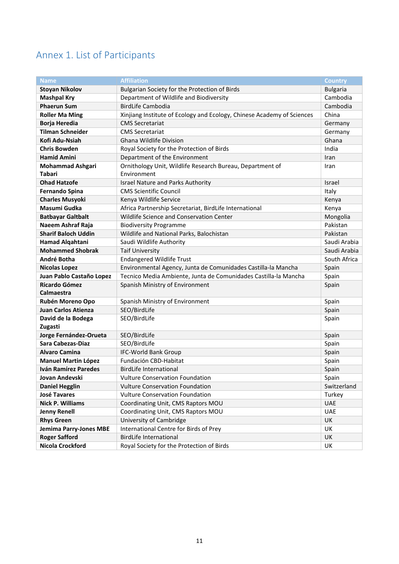# <span id="page-10-0"></span>Annex 1. List of Participants

<span id="page-10-1"></span>

| <b>Name</b>                               | <b>Affiliation</b>                                                     | <b>Country</b>  |
|-------------------------------------------|------------------------------------------------------------------------|-----------------|
| <b>Stoyan Nikolov</b>                     | Bulgarian Society for the Protection of Birds                          | <b>Bulgaria</b> |
| <b>Mashpal Kry</b>                        | Department of Wildlife and Biodiversity                                | Cambodia        |
| <b>Phaerun Sum</b>                        | <b>BirdLife Cambodia</b>                                               | Cambodia        |
| <b>Roller Ma Ming</b>                     | Xinjiang Institute of Ecology and Ecology, Chinese Academy of Sciences | China           |
| Borja Heredia                             | <b>CMS Secretariat</b>                                                 | Germany         |
| <b>Tilman Schneider</b>                   | <b>CMS Secretariat</b>                                                 | Germany         |
| Kofi Adu-Nsiah                            | Ghana Wildlife Division                                                | Ghana           |
| <b>Chris Bowden</b>                       | Royal Society for the Protection of Birds                              | India           |
| <b>Hamid Amini</b>                        | Department of the Environment                                          | Iran            |
| <b>Mohammad Ashgari</b>                   | Ornithology Unit, Wildlife Research Bureau, Department of              | Iran            |
| <b>Tabari</b>                             | Environment                                                            |                 |
| <b>Ohad Hatzofe</b>                       | Israel Nature and Parks Authority                                      | Israel          |
| <b>Fernando Spina</b>                     | <b>CMS Scientific Council</b>                                          | Italy           |
| <b>Charles Musyoki</b>                    | Kenya Wildlife Service                                                 | Kenya           |
| Masumi Gudka                              | Africa Partnership Secretariat, BirdLife International                 | Kenya           |
| <b>Batbayar Galtbalt</b>                  | Wildlife Science and Conservation Center                               | Mongolia        |
| Naeem Ashraf Raja                         | <b>Biodiversity Programme</b>                                          | Pakistan        |
| <b>Sharif Baloch Uddin</b>                | Wildlife and National Parks, Balochistan                               | Pakistan        |
| <b>Hamad Algahtani</b>                    | Saudi Wildlife Authority                                               | Saudi Arabia    |
| <b>Mohammed Shobrak</b>                   | <b>Taif University</b>                                                 | Saudi Arabia    |
| André Botha                               | <b>Endangered Wildlife Trust</b>                                       | South Africa    |
| <b>Nicolas Lopez</b>                      | Environmental Agency, Junta de Comunidades Castilla-la Mancha          | Spain           |
| Juan Pablo Castaño Lopez                  | Tecnico Media Ambiente, Junta de Comunidades Castilla-la Mancha        | Spain           |
| <b>Ricardo Gómez</b><br><b>Calmaestra</b> | Spanish Ministry of Environment                                        | Spain           |
| Rubén Moreno Opo                          | Spanish Ministry of Environment                                        | Spain           |
| <b>Juan Carlos Atienza</b>                | SEO/BirdLife                                                           | Spain           |
| David de la Bodega<br>Zugasti             | SEO/BirdLife                                                           | Spain           |
| Jorge Fernández-Orueta                    | SEO/BirdLife                                                           | Spain           |
| Sara Cabezas-Diaz                         | SEO/BirdLife                                                           | Spain           |
| <b>Alvaro Camina</b>                      | <b>IFC-World Bank Group</b>                                            | Spain           |
| <b>Manuel Martin López</b>                | Fundación CBD-Habitat                                                  | Spain           |
| <b>Iván Ramírez Paredes</b>               | <b>BirdLife International</b>                                          | Spain           |
| Jovan Andevski                            | Vulture Conservation Foundation                                        | Spain           |
| <b>Daniel Hegglin</b>                     | <b>Vulture Conservation Foundation</b>                                 | Switzerland     |
| <b>José Tavares</b>                       | <b>Vulture Conservation Foundation</b>                                 | Turkey          |
| <b>Nick P. Williams</b>                   | Coordinating Unit, CMS Raptors MOU                                     | <b>UAE</b>      |
| <b>Jenny Renell</b>                       | Coordinating Unit, CMS Raptors MOU                                     | <b>UAE</b>      |
| <b>Rhys Green</b>                         | University of Cambridge                                                | UK              |
| <b>Jemima Parry-Jones MBE</b>             | International Centre for Birds of Prey                                 | UK              |
| <b>Roger Safford</b>                      | <b>BirdLife International</b>                                          | UK              |
| <b>Nicola Crockford</b>                   | Royal Society for the Protection of Birds                              | UK              |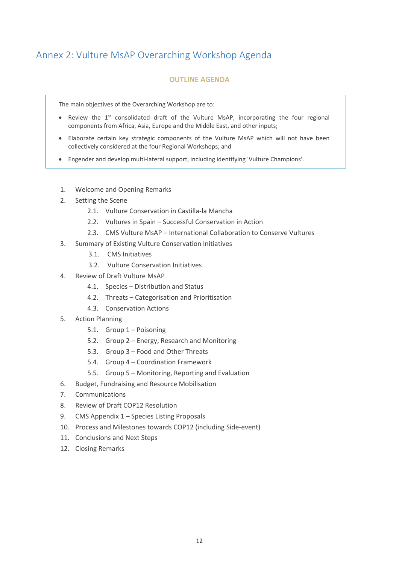# Annex 2: Vulture MsAP Overarching Workshop Agenda

#### **OUTLINE AGENDA**

The main objectives of the Overarching Workshop are to:

- Review the 1<sup>st</sup> consolidated draft of the Vulture MsAP, incorporating the four regional components from Africa, Asia, Europe and the Middle East, and other inputs;
- Elaborate certain key strategic components of the Vulture MsAP which will not have been collectively considered at the four Regional Workshops; and
- Engender and develop multi-lateral support, including identifying 'Vulture Champions'.
- 1. Welcome and Opening Remarks
- 2. Setting the Scene
	- 2.1. Vulture Conservation in Castilla-la Mancha
	- 2.2. Vultures in Spain Successful Conservation in Action
	- 2.3. CMS Vulture MsAP International Collaboration to Conserve Vultures
- 3. Summary of Existing Vulture Conservation Initiatives
	- 3.1. CMS Initiatives
	- 3.2. Vulture Conservation Initiatives
- 4. Review of Draft Vulture MsAP
	- 4.1. Species Distribution and Status
	- 4.2. Threats Categorisation and Prioritisation
	- 4.3. Conservation Actions
- 5. Action Planning
	- 5.1. Group 1 Poisoning
	- 5.2. Group 2 Energy, Research and Monitoring
	- 5.3. Group 3 Food and Other Threats
	- 5.4. Group 4 Coordination Framework
	- 5.5. Group 5 Monitoring, Reporting and Evaluation
- 6. Budget, Fundraising and Resource Mobilisation
- 7. Communications
- 8. Review of Draft COP12 Resolution
- 9. CMS Appendix 1 Species Listing Proposals
- 10. Process and Milestones towards COP12 (including Side-event)
- 11. Conclusions and Next Steps
- 12. Closing Remarks